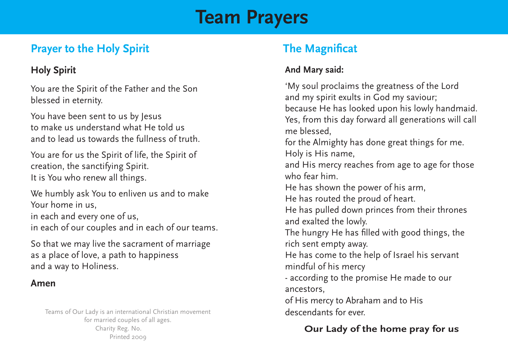# **Team Prayers**

# **Prayer to the Holy Spirit The Magnificat**

#### **Holy Spirit**

You are the Spirit of the Father and the Son blessed in eternity.

You have been sent to us by Jesus to make us understand what He told us and to lead us towards the fullness of truth.

You are for us the Spirit of life, the Spirit of creation, the sanctifying Spirit. It is You who renew all things.

We humbly ask You to enliven us and to make Your home in us, in each and every one of us, in each of our couples and in each of our teams.

So that we may live the sacrament of marriage as a place of love, a path to happiness and a way to Holiness.

#### **Amen**

Teams of Our Lady is an international Christian movement for married couples of all ages. Printed 2009 Charity Reg. No.

#### **And Mary said:**

'My soul proclaims the greatness of the Lord and my spirit exults in God my saviour; because He has looked upon his lowly handmaid. Yes, from this day forward all generations will call me blessed, for the Almighty has done great things for me. Holy is His name, and His mercy reaches from age to age for those who fear him. He has shown the power of his arm, He has routed the proud of heart. He has pulled down princes from their thrones and exalted the lowly. The hungry He has filled with good things, the rich sent empty away. He has come to the help of Israel his servant mindful of his mercy - according to the promise He made to our ancestors, of His mercy to Abraham and to His descendants for ever.

### **Our Lady of the home pray for us**